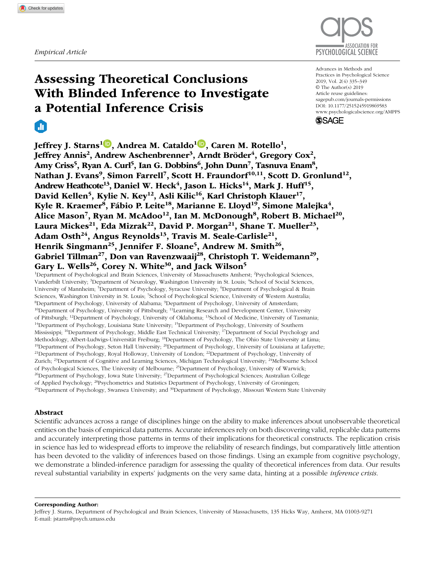$\blacksquare$ 

# Assessing Theoretical Conclusions With Blinded Inference to Investigate a Potential Inference Crisis

DOI: 10.1177/2515245919869583 Advances in Methods and Practices in Psychological Science 2019, Vol. 2(4) 335–349 © The Author(s) 2019 Article reuse guidelines: [sagepub.com/journals-permissions](https://sagepub.com/journals-permissions) www.psychologicalscience.org/AMPPS

ASSOCIATION FOR



Jeffrey J. Starns<sup>1</sup><sup>D</sup>, Andrea M. Cataldo<sup>1</sup><sup>D</sup>, Caren M. Rotello<sup>1</sup>, Jeffrey Annis<sup>2</sup>, Andrew Aschenbrenner<sup>3</sup>, Arndt Bröder<sup>4</sup>, Gregory Cox<sup>2</sup>, Amy Criss<sup>5</sup>, Ryan A. Curl<sup>5</sup>, Ian G. Dobbins<sup>6</sup>, John Dunn<sup>7</sup>, Tasnuva Enam<sup>8</sup>, Nathan J. Evans<sup>9</sup>, Simon Farrell<sup>7</sup>, Scott H. Fraundorf<sup>10,11</sup>, Scott D. Gronlund<sup>12</sup>, Andrew Heathcote<sup>13</sup>, Daniel W. Heck<sup>4</sup>, Jason L. Hicks<sup>14</sup>, Mark J. Huff<sup>15</sup>, David Kellen<sup>5</sup>, Kylie N. Key<sup>12</sup>, Asli Kilic<sup>16</sup>, Karl Christoph Klauer<sup>17</sup>, Kyle R. Kraemer<sup>8</sup>, Fábio P. Leite<sup>18</sup>, Marianne E. Lloyd<sup>19</sup>, Simone Malejka<sup>4</sup>, Alice Mason<sup>7</sup>, Ryan M. McAdoo<sup>12</sup>, Ian M. McDonough<sup>8</sup>, Robert B. Michael<sup>20</sup>, Laura Mickes<sup>21</sup>, Eda Mizrak<sup>22</sup>, David P. Morgan<sup>21</sup>, Shane T. Mueller<sup>23</sup>, Adam Osth<sup>24</sup>, Angus Reynolds<sup>13</sup>, Travis M. Seale-Carlisle<sup>21</sup>, Henrik Singmann<sup>25</sup>, Jennifer F. Sloane<sup>5</sup>, Andrew M. Smith<sup>26</sup>, Gabriel Tillman<sup>27</sup>, Don van Ravenzwaaij<sup>28</sup>, Christoph T. Weidemann<sup>29</sup>, Gary L. Wells<sup>26</sup>, Corey N. White<sup>30</sup>, and Jack Wilson<sup>5</sup>

<sup>1</sup>Department of Psychological and Brain Sciences, University of Massachusetts Amherst; <sup>2</sup>Psychological Sciences, Vanderbilt University; <sup>3</sup>Department of Neurology, Washington University in St. Louis; <sup>4</sup>School of Social Sciences, University of Mannheim; <sup>5</sup>Department of Psychology, Syracuse University; <sup>6</sup>Department of Psychological & Brain Sciences, Washington University in St. Louis; <sup>7</sup>School of Psychological Science, University of Western Australia;<br><sup>8</sup>Department of Psychology, University of Alabama: <sup>9</sup>Department of Psychology, University of Amsterdam: <sup>8</sup>Department of Psychology, University of Alabama; <sup>9</sup>Department of Psychology, University of Amsterdam;  $10$ Department of Psychology, University of Pittsburgh;  $11$ Learning Research and Development Center, University of Pittsburgh; <sup>12</sup>Department of Psychology, University of Oklahoma; <sup>13</sup>School of Medicine, University of Tasmania; <sup>14</sup>Department of Psychology, Louisiana State University; <sup>15</sup>Department of Psychology, University of Sou Mississippi; <sup>16</sup>Department of Psychology, Middle East Technical University; <sup>17</sup>Department of Social Psychology and Methodology, Albert-Ludwigs-Universität Freiburg; <sup>18</sup>Department of Psychology, The Ohio State University at Lima;<br><sup>19</sup>Department of Psychology, Seton Hall University; <sup>20</sup>Department of Psychology, University of Louisiana Zurich; <sup>23</sup>Department of Cognitive and Learning Sciences, Michigan Technological University; <sup>24</sup>Melbourne School of Psychological Sciences, The University of Melbourne; 25Department of Psychology, University of Warwick; 26Department of Psychology, Iowa State University; 27Department of Psychological Sciences; Australian College of Applied Psychology; <sup>28</sup>Psychometrics and Statistics Department of Psychology, University of Groningen; <sup>29</sup>Department of Psychology, Missouri Western State University

## Abstract

Scientific advances across a range of disciplines hinge on the ability to make inferences about unobservable theoretical entities on the basis of empirical data patterns. Accurate inferences rely on both discovering valid, replicable data patterns and accurately interpreting those patterns in terms of their implications for theoretical constructs. The replication crisis in science has led to widespread efforts to improve the reliability of research findings, but comparatively little attention has been devoted to the validity of inferences based on those findings. Using an example from cognitive psychology, we demonstrate a blinded-inference paradigm for assessing the quality of theoretical inferences from data. Our results reveal substantial variability in experts' judgments on the very same data, hinting at a possible *inference crisis*.

Corresponding Author:

Jeffrey J. Starns, Department of Psychological and Brain Sciences, University of Massachusetts, 135 Hicks Way, Amherst, MA 01003-9271 E-mail: [jstarns@psych.umass.edu](mailto:jstarns@psych.umass.edu)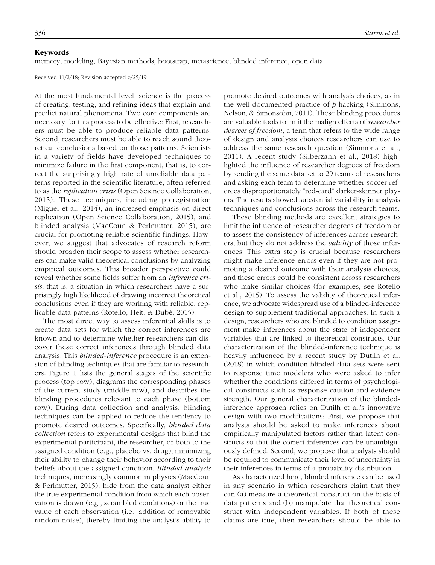#### Keywords

memory, modeling, Bayesian methods, bootstrap, metascience, blinded inference, open data

Received 11/2/18; Revision accepted 6/25/19

At the most fundamental level, science is the process of creating, testing, and refining ideas that explain and predict natural phenomena. Two core components are necessary for this process to be effective: First, researchers must be able to produce reliable data patterns. Second, researchers must be able to reach sound theoretical conclusions based on those patterns. Scientists in a variety of fields have developed techniques to minimize failure in the first component, that is, to correct the surprisingly high rate of unreliable data patterns reported in the scientific literature, often referred to as the *replication crisis* (Open Science Collaboration, 2015). These techniques, including preregistration (Miguel et al., 2014), an increased emphasis on direct replication (Open Science Collaboration, 2015), and blinded analysis (MacCoun & Perlmutter, 2015), are crucial for promoting reliable scientific findings. However, we suggest that advocates of research reform should broaden their scope to assess whether researchers can make valid theoretical conclusions by analyzing empirical outcomes. This broader perspective could reveal whether some fields suffer from an *inference crisis*, that is, a situation in which researchers have a surprisingly high likelihood of drawing incorrect theoretical conclusions even if they are working with reliable, replicable data patterns (Rotello, Heit, & Dubé, 2015).

The most direct way to assess inferential skills is to create data sets for which the correct inferences are known and to determine whether researchers can discover these correct inferences through blinded data analysis. This *blinded-inference* procedure is an extension of blinding techniques that are familiar to researchers. Figure 1 lists the general stages of the scientific process (top row), diagrams the corresponding phases of the current study (middle row), and describes the blinding procedures relevant to each phase (bottom row). During data collection and analysis, blinding techniques can be applied to reduce the tendency to promote desired outcomes. Specifically, *blinded data collection* refers to experimental designs that blind the experimental participant, the researcher, or both to the assigned condition (e.g., placebo vs. drug), minimizing their ability to change their behavior according to their beliefs about the assigned condition. *Blinded-analysis* techniques, increasingly common in physics (MacCoun & Perlmutter, 2015), hide from the data analyst either the true experimental condition from which each observation is drawn (e.g., scrambled conditions) or the true value of each observation (i.e., addition of removable random noise), thereby limiting the analyst's ability to promote desired outcomes with analysis choices, as in the well-documented practice of *p*-hacking (Simmons, Nelson, & Simonsohn, 2011). These blinding procedures are valuable tools to limit the malign effects of *researcher degrees of freedom*, a term that refers to the wide range of design and analysis choices researchers can use to address the same research question (Simmons et al., 2011). A recent study (Silberzahn et al., 2018) highlighted the influence of researcher degrees of freedom by sending the same data set to 29 teams of researchers and asking each team to determine whether soccer referees disproportionately "red-card" darker-skinner players. The results showed substantial variability in analysis techniques and conclusions across the research teams.

These blinding methods are excellent strategies to limit the influence of researcher degrees of freedom or to assess the consistency of inferences across researchers, but they do not address the *validity* of those inferences. This extra step is crucial because researchers might make inference errors even if they are not promoting a desired outcome with their analysis choices, and these errors could be consistent across researchers who make similar choices (for examples, see Rotello et al., 2015). To assess the validity of theoretical inference, we advocate widespread use of a blinded-inference design to supplement traditional approaches. In such a design, researchers who are blinded to condition assignment make inferences about the state of independent variables that are linked to theoretical constructs. Our characterization of the blinded-inference technique is heavily influenced by a recent study by Dutilh et al. (2018) in which condition-blinded data sets were sent to response time modelers who were asked to infer whether the conditions differed in terms of psychological constructs such as response caution and evidence strength. Our general characterization of the blindedinference approach relies on Dutilh et al.'s innovative design with two modifications: First, we propose that analysts should be asked to make inferences about empirically manipulated factors rather than latent constructs so that the correct inferences can be unambiguously defined. Second, we propose that analysts should be required to communicate their level of uncertainty in their inferences in terms of a probability distribution.

As characterized here, blinded inference can be used in any scenario in which researchers claim that they can (a) measure a theoretical construct on the basis of data patterns and (b) manipulate that theoretical construct with independent variables. If both of these claims are true, then researchers should be able to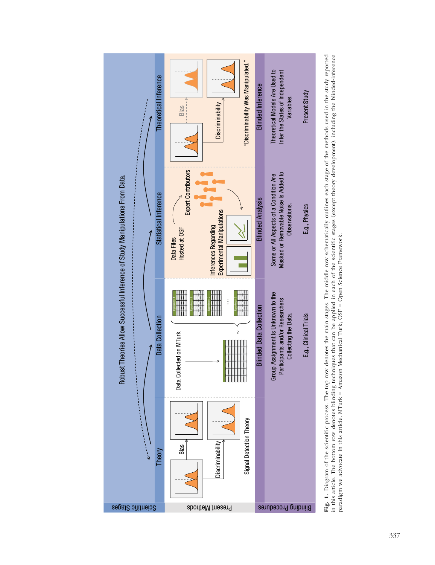

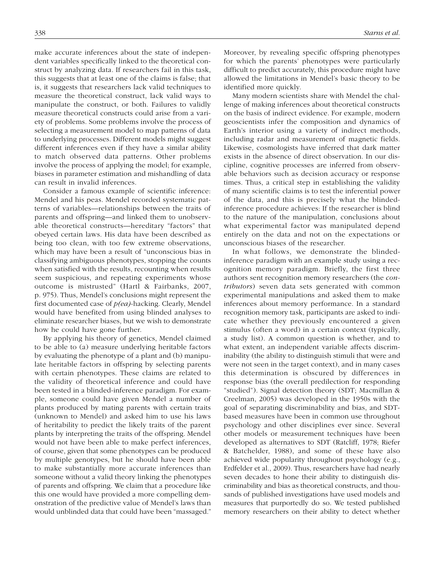make accurate inferences about the state of independent variables specifically linked to the theoretical construct by analyzing data. If researchers fail in this task, this suggests that at least one of the claims is false; that is, it suggests that researchers lack valid techniques to measure the theoretical construct, lack valid ways to manipulate the construct, or both. Failures to validly measure theoretical constructs could arise from a variety of problems. Some problems involve the process of selecting a measurement model to map patterns of data to underlying processes. Different models might suggest different inferences even if they have a similar ability to match observed data patterns. Other problems involve the process of applying the model; for example, biases in parameter estimation and mishandling of data can result in invalid inferences.

Consider a famous example of scientific inference: Mendel and his peas. Mendel recorded systematic patterns of variables—relationships between the traits of parents and offspring—and linked them to unobservable theoretical constructs—hereditary "factors" that obeyed certain laws. His data have been described as being too clean, with too few extreme observations, which may have been a result of "unconscious bias in classifying ambiguous phenotypes, stopping the counts when satisfied with the results, recounting when results seem suspicious, and repeating experiments whose outcome is mistrusted" (Hartl & Fairbanks, 2007, p. 975). Thus, Mendel's conclusions might represent the first documented case of *p(ea)*-hacking. Clearly, Mendel would have benefited from using blinded analyses to eliminate researcher biases, but we wish to demonstrate how he could have gone further.

By applying his theory of genetics, Mendel claimed to be able to (a) measure underlying heritable factors by evaluating the phenotype of a plant and (b) manipulate heritable factors in offspring by selecting parents with certain phenotypes. These claims are related to the validity of theoretical inference and could have been tested in a blinded-inference paradigm. For example, someone could have given Mendel a number of plants produced by mating parents with certain traits (unknown to Mendel) and asked him to use his laws of heritability to predict the likely traits of the parent plants by interpreting the traits of the offspring. Mendel would not have been able to make perfect inferences, of course, given that some phenotypes can be produced by multiple genotypes, but he should have been able to make substantially more accurate inferences than someone without a valid theory linking the phenotypes of parents and offspring. We claim that a procedure like this one would have provided a more compelling demonstration of the predictive value of Mendel's laws than would unblinded data that could have been "massaged." Moreover, by revealing specific offspring phenotypes for which the parents' phenotypes were particularly difficult to predict accurately, this procedure might have allowed the limitations in Mendel's basic theory to be identified more quickly.

Many modern scientists share with Mendel the challenge of making inferences about theoretical constructs on the basis of indirect evidence. For example, modern geoscientists infer the composition and dynamics of Earth's interior using a variety of indirect methods, including radar and measurement of magnetic fields. Likewise, cosmologists have inferred that dark matter exists in the absence of direct observation. In our discipline, cognitive processes are inferred from observable behaviors such as decision accuracy or response times. Thus, a critical step in establishing the validity of many scientific claims is to test the inferential power of the data, and this is precisely what the blindedinference procedure achieves: If the researcher is blind to the nature of the manipulation, conclusions about what experimental factor was manipulated depend entirely on the data and not on the expectations or unconscious biases of the researcher.

In what follows, we demonstrate the blindedinference paradigm with an example study using a recognition memory paradigm. Briefly, the first three authors sent recognition memory researchers (the *contributors*) seven data sets generated with common experimental manipulations and asked them to make inferences about memory performance. In a standard recognition memory task, participants are asked to indicate whether they previously encountered a given stimulus (often a word) in a certain context (typically, a study list). A common question is whether, and to what extent, an independent variable affects discriminability (the ability to distinguish stimuli that were and were not seen in the target context), and in many cases this determination is obscured by differences in response bias (the overall predilection for responding "studied"). Signal detection theory (SDT; Macmillan & Creelman, 2005) was developed in the 1950s with the goal of separating discriminability and bias, and SDTbased measures have been in common use throughout psychology and other disciplines ever since. Several other models or measurement techniques have been developed as alternatives to SDT (Ratcliff, 1978; Riefer & Batchelder, 1988), and some of these have also achieved wide popularity throughout psychology (e.g., Erdfelder et al., 2009). Thus, researchers have had nearly seven decades to hone their ability to distinguish discriminability and bias as theoretical constructs, and thousands of published investigations have used models and measures that purportedly do so. We tested published memory researchers on their ability to detect whether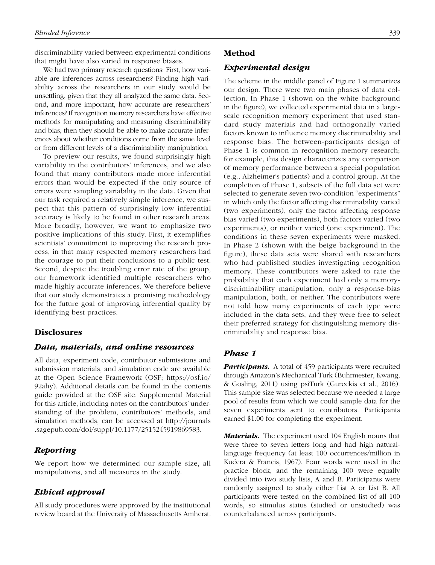discriminability varied between experimental conditions that might have also varied in response biases.

We had two primary research questions: First, how variable are inferences across researchers? Finding high variability across the researchers in our study would be unsettling, given that they all analyzed the same data. Second, and more important, how accurate are researchers' inferences? If recognition memory researchers have effective methods for manipulating and measuring discriminability and bias, then they should be able to make accurate inferences about whether conditions come from the same level or from different levels of a discriminability manipulation.

To preview our results, we found surprisingly high variability in the contributors' inferences, and we also found that many contributors made more inferential errors than would be expected if the only source of errors were sampling variability in the data. Given that our task required a relatively simple inference, we suspect that this pattern of surprisingly low inferential accuracy is likely to be found in other research areas. More broadly, however, we want to emphasize two positive implications of this study. First, it exemplifies scientists' commitment to improving the research process, in that many respected memory researchers had the courage to put their conclusions to a public test. Second, despite the troubling error rate of the group, our framework identified multiple researchers who made highly accurate inferences. We therefore believe that our study demonstrates a promising methodology for the future goal of improving inferential quality by identifying best practices.

# **Disclosures**

# *Data, materials, and online resources*

All data, experiment code, contributor submissions and submission materials, and simulation code are available at the Open Science Framework (OSF; [https://osf.](https://osf.io/92ahy)io/ 92ahy). Additional details can be found in the contents guide provided at the OSF site. Supplemental Material for this article, including notes on the contributors' understanding of the problem, contributors' methods, and simulation methods, can be accessed at [http://journals](http://journals.sagepub.com/doi/suppl/10.1177/2515245919869583) [.sagepub.com/doi/suppl/10.1177/2515245919869583](http://journals.sagepub.com/doi/suppl/10.1177/2515245919869583).

# *Reporting*

We report how we determined our sample size, all manipulations, and all measures in the study.

# *Ethical approval*

All study procedures were approved by the institutional review board at the University of Massachusetts Amherst.

# Method

# *Experimental design*

The scheme in the middle panel of Figure 1 summarizes our design. There were two main phases of data collection. In Phase 1 (shown on the white background in the figure), we collected experimental data in a largescale recognition memory experiment that used standard study materials and had orthogonally varied factors known to influence memory discriminability and response bias. The between-participants design of Phase 1 is common in recognition memory research; for example, this design characterizes any comparison of memory performance between a special population (e.g., Alzheimer's patients) and a control group. At the completion of Phase 1, subsets of the full data set were selected to generate seven two-condition "experiments" in which only the factor affecting discriminability varied (two experiments), only the factor affecting response bias varied (two experiments), both factors varied (two experiments), or neither varied (one experiment). The conditions in these seven experiments were masked. In Phase 2 (shown with the beige background in the figure), these data sets were shared with researchers who had published studies investigating recognition memory. These contributors were asked to rate the probability that each experiment had only a memorydiscriminability manipulation, only a response-bias manipulation, both, or neither. The contributors were not told how many experiments of each type were included in the data sets, and they were free to select their preferred strategy for distinguishing memory discriminability and response bias.

# *Phase 1*

**Participants.** A total of 459 participants were recruited through Amazon's Mechanical Turk (Buhrmester, Kwang, & Gosling, 2011) using psiTurk (Gureckis et al., 2016). This sample size was selected because we needed a large pool of results from which we could sample data for the seven experiments sent to contributors. Participants earned \$1.00 for completing the experiment.

*Materials.* The experiment used 104 English nouns that were three to seven letters long and had high naturallanguage frequency (at least 100 occurrences/million in Kućera & Francis, 1967). Four words were used in the practice block, and the remaining 100 were equally divided into two study lists, A and B. Participants were randomly assigned to study either List A or List B. All participants were tested on the combined list of all 100 words, so stimulus status (studied or unstudied) was counterbalanced across participants.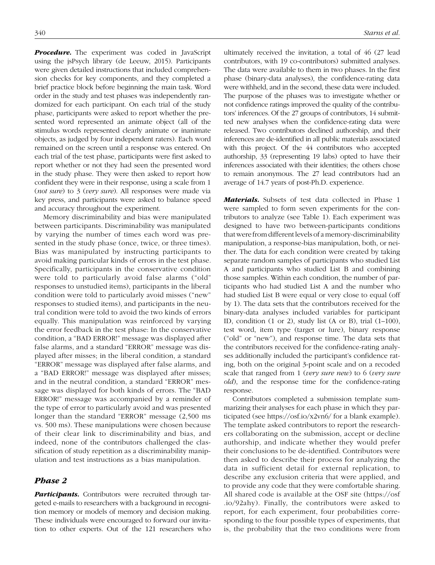*Procedure.* The experiment was coded in JavaScript using the jsPsych library (de Leeuw, 2015). Participants were given detailed instructions that included comprehension checks for key components, and they completed a brief practice block before beginning the main task. Word order in the study and test phases was independently randomized for each participant. On each trial of the study phase, participants were asked to report whether the presented word represented an animate object (all of the stimulus words represented clearly animate or inanimate objects, as judged by four independent raters). Each word remained on the screen until a response was entered. On each trial of the test phase, participants were first asked to report whether or not they had seen the presented word in the study phase. They were then asked to report how confident they were in their response, using a scale from 1 (*not sure*) to 3 (*very sure*). All responses were made via key press, and participants were asked to balance speed and accuracy throughout the experiment.

Memory discriminability and bias were manipulated between participants. Discriminability was manipulated by varying the number of times each word was presented in the study phase (once, twice, or three times). Bias was manipulated by instructing participants to avoid making particular kinds of errors in the test phase. Specifically, participants in the conservative condition were told to particularly avoid false alarms ("old" responses to unstudied items), participants in the liberal condition were told to particularly avoid misses ("new" responses to studied items), and participants in the neutral condition were told to avoid the two kinds of errors equally. This manipulation was reinforced by varying the error feedback in the test phase: In the conservative condition, a "BAD ERROR!" message was displayed after false alarms, and a standard "ERROR" message was displayed after misses; in the liberal condition, a standard "ERROR" message was displayed after false alarms, and a "BAD ERROR!" message was displayed after misses; and in the neutral condition, a standard "ERROR" message was displayed for both kinds of errors. The "BAD ERROR!" message was accompanied by a reminder of the type of error to particularly avoid and was presented longer than the standard "ERROR" message (2,500 ms vs. 500 ms). These manipulations were chosen because of their clear link to discriminability and bias, and indeed, none of the contributors challenged the classification of study repetition as a discriminability manipulation and test instructions as a bias manipulation.

# *Phase 2*

**Participants.** Contributors were recruited through targeted e-mails to researchers with a background in recognition memory or models of memory and decision making. These individuals were encouraged to forward our invitation to other experts. Out of the 121 researchers who contributors, with 19 co-contributors) submitted analyses. The data were available to them in two phases. In the first phase (binary-data analyses), the confidence-rating data were withheld, and in the second, these data were included. The purpose of the phases was to investigate whether or not confidence ratings improved the quality of the contributors' inferences. Of the 27 groups of contributors, 14 submitted new analyses when the confidence-rating data were released. Two contributors declined authorship, and their inferences are de-identified in all public materials associated with this project. Of the 44 contributors who accepted authorship, 33 (representing 19 labs) opted to have their inferences associated with their identities; the others chose to remain anonymous. The 27 lead contributors had an average of 14.7 years of post-Ph.D. experience.

*Materials.* Subsets of test data collected in Phase 1 were sampled to form seven experiments for the contributors to analyze (see Table 1). Each experiment was designed to have two between-participants conditions that were from different levels of a memory-discriminability manipulation, a response-bias manipulation, both, or neither. The data for each condition were created by taking separate random samples of participants who studied List A and participants who studied List B and combining those samples. Within each condition, the number of participants who had studied List A and the number who had studied List B were equal or very close to equal (off by 1). The data sets that the contributors received for the binary-data analyses included variables for participant ID, condition (1 or 2), study list (A or B), trial (1–100), test word, item type (target or lure), binary response ("old" or "new"), and response time. The data sets that the contributors received for the confidence-rating analyses additionally included the participant's confidence rating, both on the original 3-point scale and on a recoded scale that ranged from 1 (*very sure new*) to 6 (*very sure old*), and the response time for the confidence-rating response.

Contributors completed a submission template summarizing their analyses for each phase in which they participated (see<https://osf.io/x2vn6/>for a blank example). The template asked contributors to report the researchers collaborating on the submission, accept or decline authorship, and indicate whether they would prefer their conclusions to be de-identified. Contributors were then asked to describe their process for analyzing the data in sufficient detail for external replication, to describe any exclusion criteria that were applied, and to provide any code that they were comfortable sharing. All shared code is available at the OSF site ([https://osf](https://osf.io/92ahy) [.io/92ahy](https://osf.io/92ahy)). Finally, the contributors were asked to report, for each experiment, four probabilities corresponding to the four possible types of experiments, that is, the probability that the two conditions were from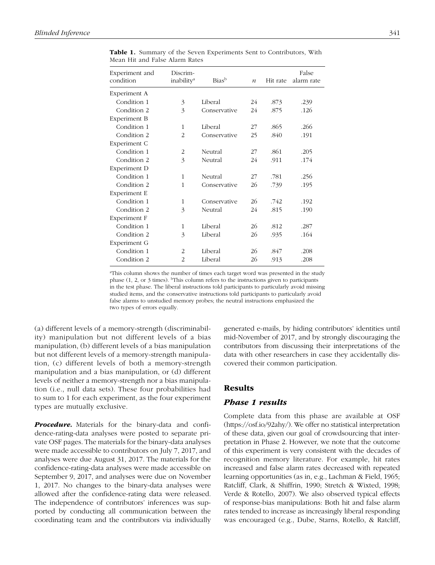| Experiment and<br>condition | Discrim-<br>inability <sup>a</sup> | Bias <sup>b</sup> | $\boldsymbol{n}$ | Hit rate | False<br>alarm rate |
|-----------------------------|------------------------------------|-------------------|------------------|----------|---------------------|
| Experiment A                |                                    |                   |                  |          |                     |
| Condition 1                 | 3                                  | Liberal           | 24               | .873     | .239                |
| Condition 2                 | 3                                  | Conservative      | 24               | .875     | .126                |
| Experiment B                |                                    |                   |                  |          |                     |
| Condition 1                 | 1                                  | Liberal           | 27               | .865     | .266                |
| Condition 2                 | 2                                  | Conservative      | 25               | .840     | .191                |
| Experiment C                |                                    |                   |                  |          |                     |
| Condition 1                 | $\overline{2}$                     | Neutral           | 27               | .861     | .205                |
| Condition 2                 | 3                                  | Neutral           | 24               | .911     | .174                |
| Experiment D                |                                    |                   |                  |          |                     |
| Condition 1                 | 1                                  | Neutral           | 27               | .781     | .256                |
| Condition 2                 | 1                                  | Conservative      | 26               | .739     | .195                |
| Experiment E                |                                    |                   |                  |          |                     |
| Condition 1                 | 1                                  | Conservative      | 26               | .742     | .192                |
| Condition 2                 | 3                                  | Neutral           | 24               | .815     | .190                |
| Experiment F                |                                    |                   |                  |          |                     |
| Condition 1                 | 1                                  | Liberal           | 26               | .812     | .287                |
| Condition 2                 | 3                                  | Liberal           | 26               | .935     | .164                |
| Experiment G                |                                    |                   |                  |          |                     |
| Condition 1                 | 2                                  | Liberal           | 26               | .847     | .208                |
| Condition 2                 | $\overline{2}$                     | Liberal           | 26               | .913     | .208                |

Table 1. Summary of the Seven Experiments Sent to Contributors, With Mean Hit and False Alarm Rates

<sup>a</sup>This column shows the number of times each target word was presented in the study phase  $(1, 2, \text{or } 3 \text{ times})$ . <sup>b</sup>This column refers to the instructions given to participants in the test phase. The liberal instructions told participants to particularly avoid missing studied items, and the conservative instructions told participants to particularly avoid false alarms to unstudied memory probes; the neutral instructions emphasized the two types of errors equally.

(a) different levels of a memory-strength (discriminability) manipulation but not different levels of a bias manipulation, (b) different levels of a bias manipulation but not different levels of a memory-strength manipulation, (c) different levels of both a memory-strength manipulation and a bias manipulation, or (d) different levels of neither a memory-strength nor a bias manipulation (i.e., null data sets). These four probabilities had to sum to 1 for each experiment, as the four experiment types are mutually exclusive.

*Procedure.* Materials for the binary-data and confidence-rating-data analyses were posted to separate private OSF pages. The materials for the binary-data analyses were made accessible to contributors on July 7, 2017, and analyses were due August 31, 2017. The materials for the confidence-rating-data analyses were made accessible on September 9, 2017, and analyses were due on November 1, 2017. No changes to the binary-data analyses were allowed after the confidence-rating data were released. The independence of contributors' inferences was supported by conducting all communication between the coordinating team and the contributors via individually generated e-mails, by hiding contributors' identities until mid-November of 2017, and by strongly discouraging the contributors from discussing their interpretations of the data with other researchers in case they accidentally discovered their common participation.

#### Results

#### *Phase 1 results*

Complete data from this phase are available at OSF [\(https://osf.io/92ahy/\)](https://osf.io/92ahy/). We offer no statistical interpretation of these data, given our goal of crowdsourcing that interpretation in Phase 2. However, we note that the outcome of this experiment is very consistent with the decades of recognition memory literature. For example, hit rates increased and false alarm rates decreased with repeated learning opportunities (as in, e.g., Lachman & Field, 1965; Ratcliff, Clark, & Shiffrin, 1990; Stretch & Wixted, 1998; Verde & Rotello, 2007). We also observed typical effects of response-bias manipulations: Both hit and false alarm rates tended to increase as increasingly liberal responding was encouraged (e.g., Dube, Starns, Rotello, & Ratcliff,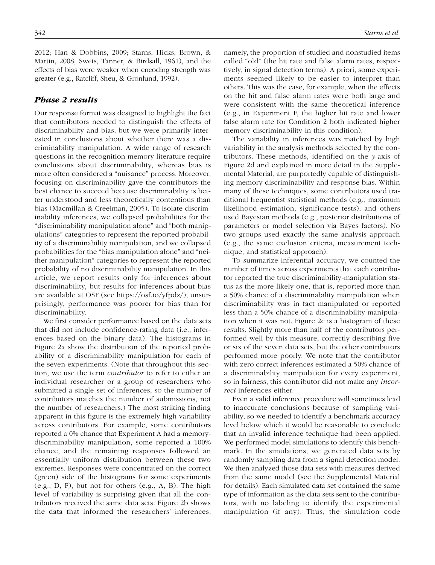2012; Han & Dobbins, 2009; Starns, Hicks, Brown, & Martin, 2008; Swets, Tanner, & Birdsall, 1961), and the effects of bias were weaker when encoding strength was greater (e.g., Ratcliff, Sheu, & Gronlund, 1992).

## *Phase 2 results*

Our response format was designed to highlight the fact that contributors needed to distinguish the effects of discriminability and bias, but we were primarily interested in conclusions about whether there was a discriminability manipulation. A wide range of research questions in the recognition memory literature require conclusions about discriminability, whereas bias is more often considered a "nuisance" process. Moreover, focusing on discriminability gave the contributors the best chance to succeed because discriminability is better understood and less theoretically contentious than bias (Macmillan & Creelman, 2005). To isolate discriminability inferences, we collapsed probabilities for the "discriminability manipulation alone" and "both manipulations" categories to represent the reported probability of a discriminability manipulation, and we collapsed probabilities for the "bias manipulation alone" and "neither manipulation" categories to represent the reported probability of no discriminability manipulation. In this article, we report results only for inferences about discriminability, but results for inferences about bias are available at OSF (see<https://osf.io/yfpdz/>); unsurprisingly, performance was poorer for bias than for discriminability.

We first consider performance based on the data sets that did not include confidence-rating data (i.e., inferences based on the binary data). The histograms in Figure 2a show the distribution of the reported probability of a discriminability manipulation for each of the seven experiments. (Note that throughout this section, we use the term *contributor* to refer to either an individual researcher or a group of researchers who submitted a single set of inferences, so the number of contributors matches the number of submissions, not the number of researchers.) The most striking finding apparent in this figure is the extremely high variability across contributors. For example, some contributors reported a 0% chance that Experiment A had a memorydiscriminability manipulation, some reported a 100% chance, and the remaining responses followed an essentially uniform distribution between these two extremes. Responses were concentrated on the correct (green) side of the histograms for some experiments (e.g., D, F), but not for others (e.g., A, B). The high level of variability is surprising given that all the contributors received the same data sets. Figure 2b shows the data that informed the researchers' inferences, namely, the proportion of studied and nonstudied items called "old" (the hit rate and false alarm rates, respectively, in signal detection terms). A priori, some experiments seemed likely to be easier to interpret than others. This was the case, for example, when the effects on the hit and false alarm rates were both large and were consistent with the same theoretical inference (e.g., in Experiment F, the higher hit rate and lower false alarm rate for Condition 2 both indicated higher memory discriminability in this condition).

The variability in inferences was matched by high variability in the analysis methods selected by the contributors. These methods, identified on the *y*-axis of Figure 2d and explained in more detail in the Supplemental Material, are purportedly capable of distinguishing memory discriminability and response bias. Within many of these techniques, some contributors used traditional frequentist statistical methods (e.g., maximum likelihood estimation, significance tests), and others used Bayesian methods (e.g., posterior distributions of parameters or model selection via Bayes factors). No two groups used exactly the same analysis approach (e.g., the same exclusion criteria, measurement technique, and statistical approach).

To summarize inferential accuracy, we counted the number of times across experiments that each contributor reported the true discriminability-manipulation status as the more likely one, that is, reported more than a 50% chance of a discriminability manipulation when discriminability was in fact manipulated or reported less than a 50% chance of a discriminability manipulation when it was not. Figure 2c is a histogram of these results. Slightly more than half of the contributors performed well by this measure, correctly describing five or six of the seven data sets, but the other contributors performed more poorly. We note that the contributor with zero correct inferences estimated a 50% chance of a discriminability manipulation for every experiment, so in fairness, this contributor did not make any *incorrect* inferences either.

Even a valid inference procedure will sometimes lead to inaccurate conclusions because of sampling variability, so we needed to identify a benchmark accuracy level below which it would be reasonable to conclude that an invalid inference technique had been applied. We performed model simulations to identify this benchmark. In the simulations, we generated data sets by randomly sampling data from a signal detection model. We then analyzed those data sets with measures derived from the same model (see the Supplemental Material for details). Each simulated data set contained the same type of information as the data sets sent to the contributors, with no labeling to identify the experimental manipulation (if any). Thus, the simulation code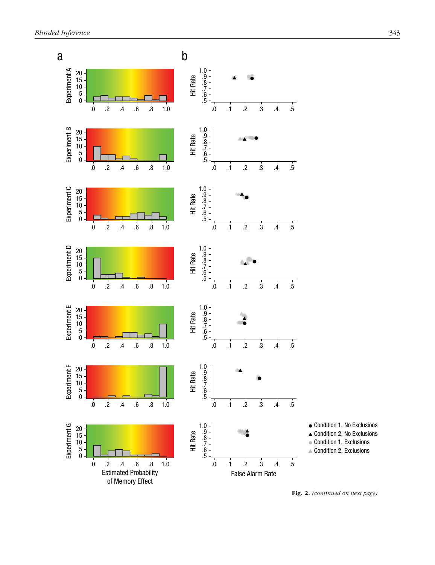

Fig. 2. *(continued on next page)*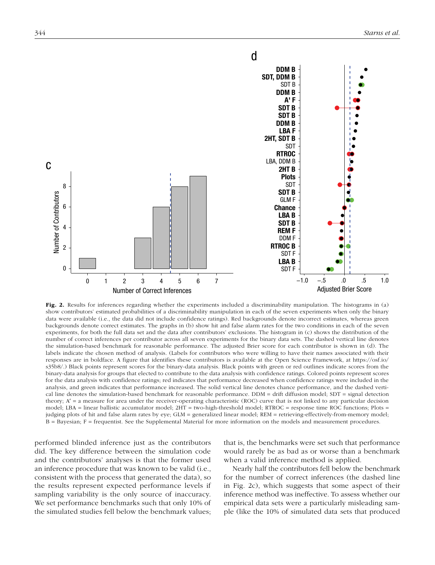

Fig. 2. Results for inferences regarding whether the experiments included a discriminability manipulation. The histograms in (a) show contributors' estimated probabilities of a discriminability manipulation in each of the seven experiments when only the binary data were available (i.e., the data did not include confidence ratings). Red backgrounds denote incorrect estimates, whereas green backgrounds denote correct estimates. The graphs in (b) show hit and false alarm rates for the two conditions in each of the seven experiments, for both the full data set and the data after contributors' exclusions. The histogram in (c) shows the distribution of the number of correct inferences per contributor across all seven experiments for the binary data sets. The dashed vertical line denotes the simulation-based benchmark for reasonable performance. The adjusted Brier score for each contributor is shown in (d). The labels indicate the chosen method of analysis. (Labels for contributors who were willing to have their names associated with their responses are in boldface. A figure that identifies these contributors is available at the Open Science Framework, at [https://osf.io/](https://osf.io/s35b8/) [s35b8/](https://osf.io/s35b8/).) Black points represent scores for the binary-data analysis. Black points with green or red outlines indicate scores from the binary-data analysis for groups that elected to contribute to the data analysis with confidence ratings. Colored points represent scores for the data analysis with confidence ratings; red indicates that performance decreased when confidence ratings were included in the analysis, and green indicates that performance increased. The solid vertical line denotes chance performance, and the dashed vertical line denotes the simulation-based benchmark for reasonable performance. DDM = drift diffusion model; SDT = signal detection theory;  $A' = a$  measure for area under the receiver-operating characteristic (ROC) curve that is not linked to any particular decision model; LBA = linear ballistic accumulator model; 2HT = two-high-threshold model; RTROC = response time ROC functions; Plots = judging plots of hit and false alarm rates by eye; GLM = generalized linear model; REM = retrieving-effectively-from-memory model; B = Bayesian; F = frequentist. See the Supplemental Material for more information on the models and measurement procedures.

performed blinded inference just as the contributors did. The key difference between the simulation code and the contributors' analyses is that the former used an inference procedure that was known to be valid (i.e., consistent with the process that generated the data), so the results represent expected performance levels if sampling variability is the only source of inaccuracy. We set performance benchmarks such that only 10% of the simulated studies fell below the benchmark values; that is, the benchmarks were set such that performance would rarely be as bad as or worse than a benchmark when a valid inference method is applied.

Nearly half the contributors fell below the benchmark for the number of correct inferences (the dashed line in Fig. 2c), which suggests that some aspect of their inference method was ineffective. To assess whether our empirical data sets were a particularly misleading sample (like the 10% of simulated data sets that produced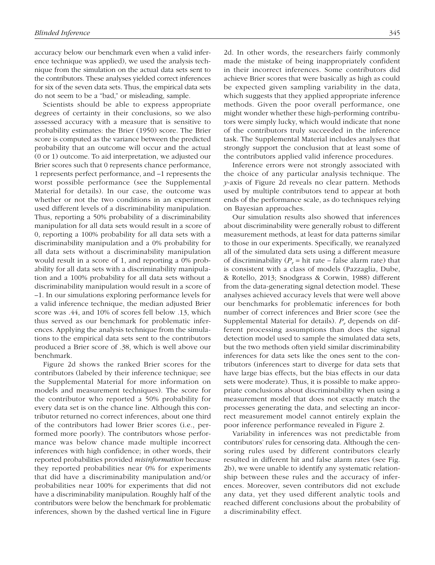accuracy below our benchmark even when a valid inference technique was applied), we used the analysis technique from the simulation on the actual data sets sent to the contributors. These analyses yielded correct inferences for six of the seven data sets. Thus, the empirical data sets do not seem to be a "bad," or misleading, sample.

Scientists should be able to express appropriate degrees of certainty in their conclusions, so we also assessed accuracy with a measure that is sensitive to probability estimates: the Brier (1950) score. The Brier score is computed as the variance between the predicted probability that an outcome will occur and the actual (0 or 1) outcome. To aid interpretation, we adjusted our Brier scores such that 0 represents chance performance, 1 represents perfect performance, and –1 represents the worst possible performance (see the Supplemental Material for details). In our case, the outcome was whether or not the two conditions in an experiment used different levels of a discriminability manipulation. Thus, reporting a 50% probability of a discriminability manipulation for all data sets would result in a score of 0, reporting a 100% probability for all data sets with a discriminability manipulation and a 0% probability for all data sets without a discriminability manipulation would result in a score of 1, and reporting a 0% probability for all data sets with a discriminability manipulation and a 100% probability for all data sets without a discriminability manipulation would result in a score of –1. In our simulations exploring performance levels for a valid inference technique, the median adjusted Brier score was .44, and 10% of scores fell below .13, which thus served as our benchmark for problematic inferences. Applying the analysis technique from the simulations to the empirical data sets sent to the contributors produced a Brier score of .38, which is well above our benchmark.

Figure 2d shows the ranked Brier scores for the contributors (labeled by their inference technique; see the Supplemental Material for more information on models and measurement techniques). The score for the contributor who reported a 50% probability for every data set is on the chance line. Although this contributor returned no correct inferences, about one third of the contributors had lower Brier scores (i.e., performed more poorly). The contributors whose performance was below chance made multiple incorrect inferences with high confidence; in other words, their reported probabilities provided *misinformation* because they reported probabilities near 0% for experiments that did have a discriminability manipulation and/or probabilities near 100% for experiments that did not have a discriminability manipulation. Roughly half of the contributors were below the benchmark for problematic inferences, shown by the dashed vertical line in Figure 2d. In other words, the researchers fairly commonly made the mistake of being inappropriately confident in their incorrect inferences. Some contributors did achieve Brier scores that were basically as high as could be expected given sampling variability in the data, which suggests that they applied appropriate inference methods. Given the poor overall performance, one might wonder whether these high-performing contributors were simply lucky, which would indicate that none of the contributors truly succeeded in the inference task. The Supplemental Material includes analyses that strongly support the conclusion that at least some of the contributors applied valid inference procedures.

Inference errors were not strongly associated with the choice of any particular analysis technique. The *y*-axis of Figure 2d reveals no clear pattern. Methods used by multiple contributors tend to appear at both ends of the performance scale, as do techniques relying on Bayesian approaches.

Our simulation results also showed that inferences about discriminability were generally robust to different measurement methods, at least for data patterns similar to those in our experiments. Specifically, we reanalyzed all of the simulated data sets using a different measure of discriminability  $(P_r = \text{hit rate} - \text{false alarm rate})$  that is consistent with a class of models (Pazzaglia, Dube, & Rotello, 2013; Snodgrass & Corwin, 1988) different from the data-generating signal detection model. These analyses achieved accuracy levels that were well above our benchmarks for problematic inferences for both number of correct inferences and Brier score (see the Supplemental Material for details). *Pr* depends on different processing assumptions than does the signal detection model used to sample the simulated data sets, but the two methods often yield similar discriminability inferences for data sets like the ones sent to the contributors (inferences start to diverge for data sets that have large bias effects, but the bias effects in our data sets were moderate). Thus, it is possible to make appropriate conclusions about discriminability when using a measurement model that does not exactly match the processes generating the data, and selecting an incorrect measurement model cannot entirely explain the poor inference performance revealed in Figure 2.

Variability in inferences was not predictable from contributors' rules for censoring data. Although the censoring rules used by different contributors clearly resulted in different hit and false alarm rates (see Fig. 2b), we were unable to identify any systematic relationship between these rules and the accuracy of inferences. Moreover, seven contributors did not exclude any data, yet they used different analytic tools and reached different conclusions about the probability of a discriminability effect.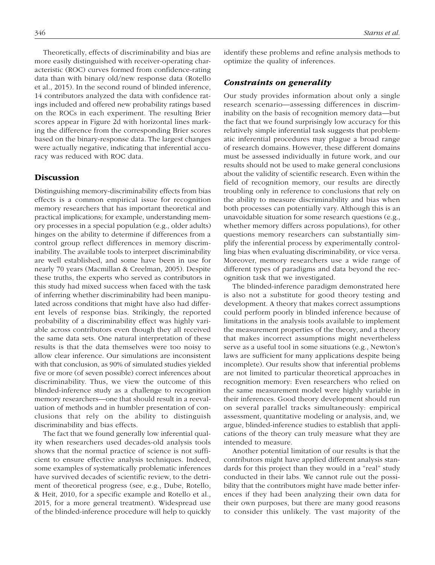Theoretically, effects of discriminability and bias are more easily distinguished with receiver-operating characteristic (ROC) curves formed from confidence-rating data than with binary old/new response data (Rotello et al., 2015). In the second round of blinded inference, 14 contributors analyzed the data with confidence ratings included and offered new probability ratings based on the ROCs in each experiment. The resulting Brier scores appear in Figure 2d with horizontal lines marking the difference from the corresponding Brier scores based on the binary-response data. The largest changes were actually negative, indicating that inferential accuracy was reduced with ROC data.

## **Discussion**

Distinguishing memory-discriminability effects from bias effects is a common empirical issue for recognition memory researchers that has important theoretical and practical implications; for example, understanding memory processes in a special population (e.g., older adults) hinges on the ability to determine if differences from a control group reflect differences in memory discriminability. The available tools to interpret discriminability are well established, and some have been in use for nearly 70 years (Macmillan & Creelman, 2005). Despite these truths, the experts who served as contributors in this study had mixed success when faced with the task of inferring whether discriminability had been manipulated across conditions that might have also had different levels of response bias. Strikingly, the reported probability of a discriminability effect was highly variable across contributors even though they all received the same data sets. One natural interpretation of these results is that the data themselves were too noisy to allow clear inference. Our simulations are inconsistent with that conclusion, as 90% of simulated studies yielded five or more (of seven possible) correct inferences about discriminability. Thus, we view the outcome of this blinded-inference study as a challenge to recognition memory researchers—one that should result in a reevaluation of methods and in humbler presentation of conclusions that rely on the ability to distinguish discriminability and bias effects.

The fact that we found generally low inferential quality when researchers used decades-old analysis tools shows that the normal practice of science is not sufficient to ensure effective analysis techniques. Indeed, some examples of systematically problematic inferences have survived decades of scientific review, to the detriment of theoretical progress (see, e.g., Dube, Rotello, & Heit, 2010, for a specific example and Rotello et al., 2015, for a more general treatment). Widespread use of the blinded-inference procedure will help to quickly identify these problems and refine analysis methods to optimize the quality of inferences.

#### *Constraints on generality*

Our study provides information about only a single research scenario—assessing differences in discriminability on the basis of recognition memory data—but the fact that we found surprisingly low accuracy for this relatively simple inferential task suggests that problematic inferential procedures may plague a broad range of research domains. However, these different domains must be assessed individually in future work, and our results should not be used to make general conclusions about the validity of scientific research. Even within the field of recognition memory, our results are directly troubling only in reference to conclusions that rely on the ability to measure discriminability and bias when both processes can potentially vary. Although this is an unavoidable situation for some research questions (e.g., whether memory differs across populations), for other questions memory researchers can substantially simplify the inferential process by experimentally controlling bias when evaluating discriminability, or vice versa. Moreover, memory researchers use a wide range of different types of paradigms and data beyond the recognition task that we investigated.

The blinded-inference paradigm demonstrated here is also not a substitute for good theory testing and development. A theory that makes correct assumptions could perform poorly in blinded inference because of limitations in the analysis tools available to implement the measurement properties of the theory, and a theory that makes incorrect assumptions might nevertheless serve as a useful tool in some situations (e.g., Newton's laws are sufficient for many applications despite being incomplete). Our results show that inferential problems are not limited to particular theoretical approaches in recognition memory: Even researchers who relied on the same measurement model were highly variable in their inferences. Good theory development should run on several parallel tracks simultaneously: empirical assessment, quantitative modeling or analysis, and, we argue, blinded-inference studies to establish that applications of the theory can truly measure what they are intended to measure.

Another potential limitation of our results is that the contributors might have applied different analysis standards for this project than they would in a "real" study conducted in their labs. We cannot rule out the possibility that the contributors might have made better inferences if they had been analyzing their own data for their own purposes, but there are many good reasons to consider this unlikely. The vast majority of the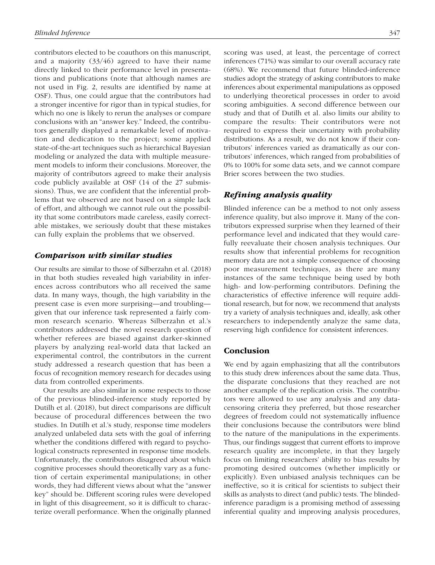contributors elected to be coauthors on this manuscript, and a majority (33/46) agreed to have their name directly linked to their performance level in presentations and publications (note that although names are not used in Fig. 2, results are identified by name at OSF). Thus, one could argue that the contributors had a stronger incentive for rigor than in typical studies, for which no one is likely to rerun the analyses or compare conclusions with an "answer key." Indeed, the contributors generally displayed a remarkable level of motivation and dedication to the project; some applied state-of-the-art techniques such as hierarchical Bayesian modeling or analyzed the data with multiple measurement models to inform their conclusions. Moreover, the majority of contributors agreed to make their analysis code publicly available at OSF (14 of the 27 submissions). Thus, we are confident that the inferential problems that we observed are not based on a simple lack of effort, and although we cannot rule out the possibility that some contributors made careless, easily correctable mistakes, we seriously doubt that these mistakes can fully explain the problems that we observed.

## *Comparison with similar studies*

Our results are similar to those of Silberzahn et al. (2018) in that both studies revealed high variability in inferences across contributors who all received the same data. In many ways, though, the high variability in the present case is even more surprising—and troubling given that our inference task represented a fairly common research scenario. Whereas Silberzahn et al.'s contributors addressed the novel research question of whether referees are biased against darker-skinned players by analyzing real-world data that lacked an experimental control, the contributors in the current study addressed a research question that has been a focus of recognition memory research for decades using data from controlled experiments.

Our results are also similar in some respects to those of the previous blinded-inference study reported by Dutilh et al. (2018), but direct comparisons are difficult because of procedural differences between the two studies. In Dutilh et al.'s study, response time modelers analyzed unlabeled data sets with the goal of inferring whether the conditions differed with regard to psychological constructs represented in response time models. Unfortunately, the contributors disagreed about which cognitive processes should theoretically vary as a function of certain experimental manipulations; in other words, they had different views about what the "answer key" should be. Different scoring rules were developed in light of this disagreement, so it is difficult to characterize overall performance. When the originally planned scoring was used, at least, the percentage of correct inferences (71%) was similar to our overall accuracy rate (68%). We recommend that future blinded-inference studies adopt the strategy of asking contributors to make inferences about experimental manipulations as opposed to underlying theoretical processes in order to avoid scoring ambiguities. A second difference between our study and that of Dutilh et al. also limits our ability to compare the results: Their contributors were not required to express their uncertainty with probability distributions. As a result, we do not know if their contributors' inferences varied as dramatically as our contributors' inferences, which ranged from probabilities of 0% to 100% for some data sets, and we cannot compare Brier scores between the two studies.

# *Refining analysis quality*

Blinded inference can be a method to not only assess inference quality, but also improve it. Many of the contributors expressed surprise when they learned of their performance level and indicated that they would carefully reevaluate their chosen analysis techniques. Our results show that inferential problems for recognition memory data are not a simple consequence of choosing poor measurement techniques, as there are many instances of the same technique being used by both high- and low-performing contributors. Defining the characteristics of effective inference will require additional research, but for now, we recommend that analysts try a variety of analysis techniques and, ideally, ask other researchers to independently analyze the same data, reserving high confidence for consistent inferences.

# Conclusion

We end by again emphasizing that all the contributors to this study drew inferences about the same data. Thus, the disparate conclusions that they reached are not another example of the replication crisis. The contributors were allowed to use any analysis and any datacensoring criteria they preferred, but those researcher degrees of freedom could not systematically influence their conclusions because the contributors were blind to the nature of the manipulations in the experiments. Thus, our findings suggest that current efforts to improve research quality are incomplete, in that they largely focus on limiting researchers' ability to bias results by promoting desired outcomes (whether implicitly or explicitly). Even unbiased analysis techniques can be ineffective, so it is critical for scientists to subject their skills as analysts to direct (and public) tests. The blindedinference paradigm is a promising method of assessing inferential quality and improving analysis procedures,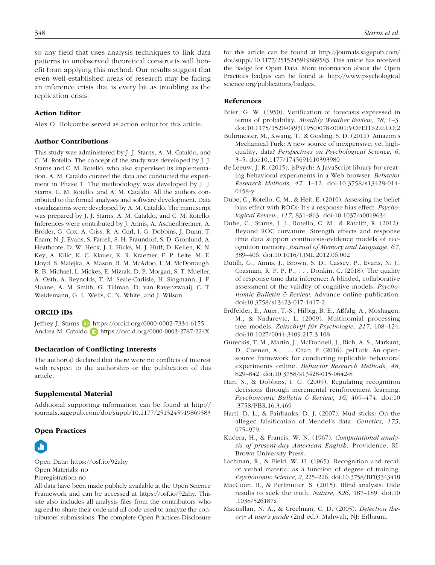so any field that uses analysis techniques to link data patterns to unobserved theoretical constructs will ben-

efit from applying this method. Our results suggest that even well-established areas of research may be facing an inference crisis that is every bit as troubling as the replication crisis.

## Action Editor

Alex O. Holcombe served as action editor for this article.

#### Author Contributions

This study was administered by J. J. Starns, A. M. Cataldo, and C. M. Rotello. The concept of the study was developed by J. J. Starns and C. M. Rotello, who also supervised its implementation. A. M. Cataldo curated the data and conducted the experiment in Phase 1. The methodology was developed by J. J. Starns, C. M. Rotello, and A. M. Cataldo. All the authors contributed to the formal analyses and software development. Data visualizations were developed by A. M. Cataldo. The manuscript was prepared by J. J. Starns, A. M. Cataldo, and C. M. Rotello. Inferences were contributed by J. Annis, A. Aschenbrenner, A. Bröder, G. Cox, A. Criss, R. A. Curl, I. G. Dobbins, J. Dunn, T. Enam, N. J. Evans, S. Farrell, S. H. Fraundorf, S. D. Gronlund, A. Heathcote, D. W. Heck, J. L. Hicks, M. J. Huff, D. Kellen, K. N. Key, A. Kilic, K. C. Klauer, K. R. Kraemer, F. P. Leite, M. E. Lloyd, S. Malejka, A. Mason, R. M. McAdoo, I. M. McDonough, R. B. Michael, L. Mickes, E. Mizrak, D. P. Morgan, S. T. Mueller, A. Osth, A. Reynolds, T. M. Seale-Carlisle, H. Singmann, J. F. Sloane, A. M. Smith, G. Tillman, D. van Ravenzwaaij, C. T. Weidemann, G. L. Wells, C. N. White, and J. Wilson.

#### ORCID iDs

Jeffrey J. Starns **D** <https://orcid.org/0000-0002-7334-6155> Andrea M. Cataldo **b** <https://orcid.org/0000-0003-2787-224X>

#### Declaration of Conflicting Interests

The author(s) declared that there were no conflicts of interest with respect to the authorship or the publication of this article.

#### Supplemental Material

Additional supporting information can be found at [http://](http://journals.sagepub.com/doi/suppl/10.1177/2515245919869583) [journals.sagepub.com/doi/suppl/10.1177/2515245919869583](http://journals.sagepub.com/doi/suppl/10.1177/2515245919869583)

#### Open Practices



Open Data: <https://osf.io/92ahy> Open Materials: no

Preregistration: no

All data have been made publicly available at the Open Science Framework and can be accessed at <https://osf.io/92ahy>. This site also includes all analysis files from the contributors who agreed to share their code and all code used to analyze the contributors' submissions. The complete Open Practices Disclosure for this article can be found at [http://journals.sagepub.com/](http://journals.sagepub.com/doi/suppl/10.1177/2515245919869583) [doi/suppl/10.1177/2515245919869583](http://journals.sagepub.com/doi/suppl/10.1177/2515245919869583). This article has received the badge for Open Data. More information about the Open Practices badges can be found at [http://www.psychological](http://www.psychologicalscience.org/publications/badges) [science.org/publications/badges](http://www.psychologicalscience.org/publications/badges).

#### References

- Brier, G. W. (1950). Verification of forecasts expressed in terms of probability. *Monthly Weather Review*, *78*, 1–3. doi:10.1175/1520-0493(1950)078<0001:VOFEIT>2.0.CO;2
- Buhrmester, M., Kwang, T., & Gosling, S. D. (2011). Amazon's Mechanical Turk: A new source of inexpensive, yet highquality, data? *Perspectives on Psychological Science*, *6*, 3–5. doi:10.1177/1745691610393980
- de Leeuw, J. R. (2015). jsPsych: A JavaScript library for creating behavioral experiments in a Web browser. *Behavior Research Methods*, *47*, 1–12. doi:10.3758/s13428-014- 0458-y
- Dube, C., Rotello, C. M., & Heit, E. (2010). Assessing the belief bias effect with ROCs: It's a response bias effect. *Psychological Review*, *117*, 831–863. doi:10.1037/a0019634
- Dube, C., Starns, J. J., Rotello, C. M., & Ratcliff, R. (2012). Beyond ROC curvature: Strength effects and response time data support continuous-evidence models of recognition memory. *Journal of Memory and Language*, *67*, 389–406. doi:10.1016/J.JML.2012.06.002
- Dutilh, G., Annis, J., Brown, S. D., Cassey, P., Evans, N. J., Grasman, R. P. P. P., . . . Donkin, C. (2018). The quality of response time data inference: A blinded, collaborative assessment of the validity of cognitive models. *Psychonomic Bulletin & Review*. Advance online publication. doi:10.3758/s13423-017-1417-2
- Erdfelder, E., Auer, T.-S., Hilbig, B. E., Aßfalg, A., Moshagen, M., & Nadarevic, L. (2009). Multinomial processing tree models. *Zeitschrift für Psychologie*, *217*, 108–124. doi:10.1027/0044-3409.217.3.108
- Gureckis, T. M., Martin, J., McDonnell, J., Rich, A. S., Markant, D., Coenen, A., . . . Chan, P. (2016). psiTurk: An opensource framework for conducting replicable behavioral experiments online. *Behavior Research Methods*, *48*, 829–842. doi:10.3758/s13428-015-0642-8
- Han, S., & Dobbins, I. G. (2009). Regulating recognition decisions through incremental reinforcement learning. *Psychonomic Bulletin & Review*, *16*, 469–474. doi:10 .3758/PBR.16.3.469
- Hartl, D. L., & Fairbanks, D. J. (2007). Mud sticks: On the alleged falsification of Mendel's data. *Genetics*, *175*, 975–979.
- Kućera, H., & Francis, W. N. (1967). *Computational analysis of present-day American English*. Providence, RI: Brown University Press.
- Lachman, R., & Field, W. H. (1965). Recognition and recall of verbal material as a function of degree of training. *Psychonomic Science*, *2*, 225–226. doi:10.3758/BF03343418
- MacCoun, R., & Perlmutter, S. (2015). Blind analysis: Hide results to seek the truth. *Nature*, *526*, 187–189. doi:10 .1038/526187a
- Macmillan, N. A., & Creelman, C. D. (2005). *Detection theory: A user's guide* (2nd ed.). Mahwah, NJ: Erlbaum.